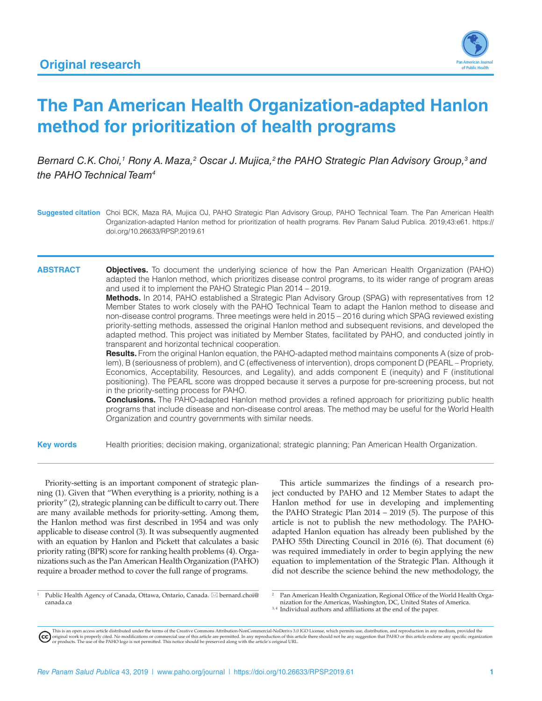

# **The Pan American Health Organization-adapted Hanlon method for prioritization of health programs**

Bernard C.K. Choi,<sup>1</sup> Rony A. Maza,<sup>2</sup> Oscar J. Mujica,<sup>2</sup> the PAHO Strategic Plan Advisory Group,<sup>3</sup> and *the PAHO Technical Team4*

**Suggested citation** Choi BCK, Maza RA, Mujica OJ, PAHO Strategic Plan Advisory Group, PAHO Technical Team. The Pan American Health Organization-adapted Hanlon method for prioritization of health programs. Rev Panam Salud Publica. 2019;43:e61. [https://](https://doi.org/10.26633/RPSP.2019.61) [doi.org/10.26633/RPSP.2019.61](https://doi.org/10.26633/RPSP.2019.61)

#### **ABSTRACT Objectives.** To document the underlying science of how the Pan American Health Organization (PAHO) adapted the Hanlon method, which prioritizes disease control programs, to its wider range of program areas and used it to implement the PAHO Strategic Plan 2014 – 2019.

**Methods.** In 2014, PAHO established a Strategic Plan Advisory Group (SPAG) with representatives from 12 Member States to work closely with the PAHO Technical Team to adapt the Hanlon method to disease and non-disease control programs. Three meetings were held in 2015 – 2016 during which SPAG reviewed existing priority-setting methods, assessed the original Hanlon method and subsequent revisions, and developed the adapted method. This project was initiated by Member States, facilitated by PAHO, and conducted jointly in transparent and horizontal technical cooperation.

**Results.** From the original Hanlon equation, the PAHO-adapted method maintains components A (size of problem), B (seriousness of problem), and C (effectiveness of intervention), drops component D (PEARL – Propriety, Economics, Acceptability, Resources, and Legality), and adds component E (inequity) and F (institutional positioning). The PEARL score was dropped because it serves a purpose for pre-screening process, but not in the priority-setting process for PAHO.

**Conclusions.** The PAHO-adapted Hanlon method provides a refined approach for prioritizing public health programs that include disease and non-disease control areas. The method may be useful for the World Health Organization and country governments with similar needs.

**Key words** Health priorities; decision making, organizational; strategic planning; Pan American Health Organization.

Priority-setting is an important component of strategic planning (1). Given that "When everything is a priority, nothing is a priority" (2), strategic planning can be difficult to carry out. There are many available methods for priority-setting. Among them, the Hanlon method was first described in 1954 and was only applicable to disease control (3). It was subsequently augmented with an equation by Hanlon and Pickett that calculates a basic priority rating (BPR) score for ranking health problems (4). Organizations such as the Pan American Health Organization (PAHO) require a broader method to cover the full range of programs.

This article summarizes the findings of a research project conducted by PAHO and 12 Member States to adapt the Hanlon method for use in developing and implementing the PAHO Strategic Plan 2014 – 2019 (5). The purpose of this article is not to publish the new methodology. The PAHOadapted Hanlon equation has already been published by the PAHO 55th Directing Council in 2016 (6). That document (6) was required immediately in order to begin applying the new equation to implementation of the Strategic Plan. Although it did not describe the science behind the new methodology, the

<sup>1</sup> Public Health Agency of Canada, Ottawa, Ontario, Canada.  $\boxtimes$  [bernard.choi@](mailto:bernard.choi@canada.ca) [canada.ca](mailto:bernard.choi@canada.ca)

<sup>2</sup> Pan American Health Organization, Regional Office of the World Health Organization for the Americas, Washington, DC, United States of America.

<sup>3,4</sup> Individual authors and affiliations at the end of the paper.

This is an open access article distributed under the terms of the [Creative Commons Attribution-NonCommercial-NoDerivs 3.0 IGO](http://Creative Commons Attribution-NonCommercial-NoDerivs 3.0 IGO) License, which permits use, distribution, and reproduction in any medium, provided the<br>orignal w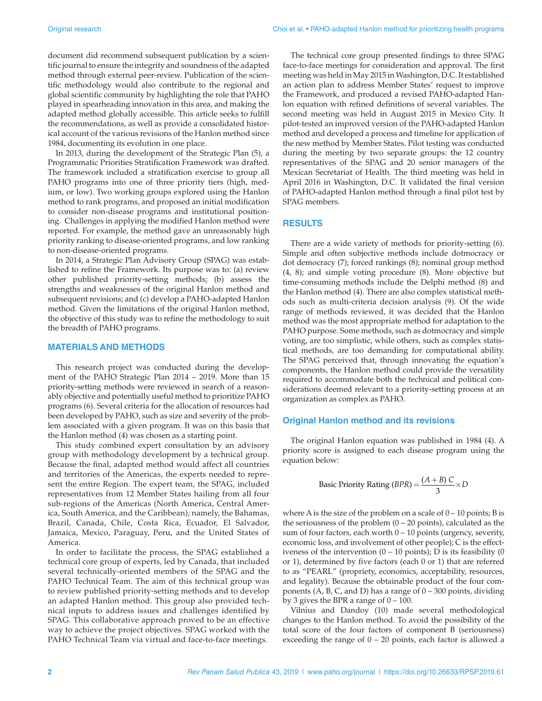document did recommend subsequent publication by a scientific journal to ensure the integrity and soundness of the adapted method through external peer-review. Publication of the scientific methodology would also contribute to the regional and global scientific community by highlighting the role that PAHO played in spearheading innovation in this area, and making the adapted method globally accessible. This article seeks to fulfill the recommendations, as well as provide a consolidated historical account of the various revisions of the Hanlon method since 1984, documenting its evolution in one place.

In 2013, during the development of the Strategic Plan (5), a Programmatic Priorities Stratification Framework was drafted. The framework included a stratification exercise to group all PAHO programs into one of three priority tiers (high, medium, or low). Two working groups explored using the Hanlon method to rank programs, and proposed an initial modification to consider non-disease programs and institutional positioning. Challenges in applying the modified Hanlon method were reported. For example, the method gave an unreasonably high priority ranking to disease-oriented programs, and low ranking to non-disease-oriented programs.

In 2014, a Strategic Plan Advisory Group (SPAG) was established to refine the Framework. Its purpose was to: (a) review other published priority-setting methods; (b) assess the strengths and weaknesses of the original Hanlon method and subsequent revisions; and (c) develop a PAHO-adapted Hanlon method. Given the limitations of the original Hanlon method, the objective of this study was to refine the methodology to suit the breadth of PAHO programs.

#### **MATERIALS AND METHODS**

This research project was conducted during the development of the PAHO Strategic Plan 2014 – 2019. More than 15 priority-setting methods were reviewed in search of a reasonably objective and potentially useful method to prioritize PAHO programs (6). Several criteria for the allocation of resources had been developed by PAHO, such as size and severity of the problem associated with a given program. It was on this basis that the Hanlon method (4) was chosen as a starting point.

This study combined expert consultation by an advisory group with methodology development by a technical group. Because the final, adapted method would affect all countries and territories of the Americas, the experts needed to represent the entire Region. The expert team, the SPAG, included representatives from 12 Member States hailing from all four sub-regions of the Americas (North America, Central America, South America, and the Caribbean); namely, the Bahamas, Brazil, Canada, Chile, Costa Rica, Ecuador, El Salvador, Jamaica, Mexico, Paraguay, Peru, and the United States of America.

In order to facilitate the process, the SPAG established a technical core group of experts, led by Canada, that included several technically-oriented members of the SPAG and the PAHO Technical Team. The aim of this technical group was to review published priority-setting methods and to develop an adapted Hanlon method. This group also provided technical inputs to address issues and challenges identified by SPAG. This collaborative approach proved to be an effective way to achieve the project objectives. SPAG worked with the PAHO Technical Team via virtual and face-to-face meetings.

The technical core group presented findings to three SPAG face-to-face meetings for consideration and approval. The first meeting was held in May 2015 in Washington, D.C. It established an action plan to address Member States' request to improve the Framework, and produced a revised PAHO-adapted Hanlon equation with refined definitions of several variables. The second meeting was held in August 2015 in Mexico City. It pilot-tested an improved version of the PAHO-adapted Hanlon method and developed a process and timeline for application of the new method by Member States. Pilot testing was conducted during the meeting by two separate groups: the 12 country representatives of the SPAG and 20 senior managers of the Mexican Secretariat of Health. The third meeting was held in April 2016 in Washington, D.C. It validated the final version of PAHO-adapted Hanlon method through a final pilot test by SPAG members.

#### **RESULTS**

There are a wide variety of methods for priority-setting (6). Simple and often subjective methods include dotmocracy or dot democracy (7); forced rankings (8); nominal group method (4, 8); and simple voting procedure (8). More objective but time-consuming methods include the Delphi method (8) and the Hanlon method (4). There are also complex statistical methods such as multi-criteria decision analysis (9). Of the wide range of methods reviewed, it was decided that the Hanlon method was the most appropriate method for adaptation to the PAHO purpose. Some methods, such as dotmocracy and simple voting, are too simplistic, while others, such as complex statistical methods, are too demanding for computational ability. The SPAG perceived that, through innovating the equation's components, the Hanlon method could provide the versatility required to accommodate both the technical and political considerations deemed relevant to a priority-setting process at an organization as complex as PAHO.

#### **Original Hanlon method and its revisions**

The original Hanlon equation was published in 1984 (4). A priority score is assigned to each disease program using the equation below:

Basic Priority Rating 
$$
(BPR) = \frac{(A+B) C}{3} \times D
$$

where A is the size of the problem on a scale of  $0 - 10$  points; B is the seriousness of the problem  $(0 - 20 \text{ points})$ , calculated as the sum of four factors, each worth  $0 - 10$  points (urgency, severity, economic loss, and involvement of other people); C is the effectiveness of the intervention  $(0 - 10 \text{ points})$ ; D is its feasibility  $(0 \text{ units})$ or 1), determined by five factors (each 0 or 1) that are referred to as "PEARL" (propriety, economics, acceptability, resources, and legality). Because the obtainable product of the four components  $(A, B, C, and D)$  has a range of  $0 - 300$  points, dividing by 3 gives the BPR a range of  $0 - 100$ .

Vilnius and Dandoy (10) made several methodological changes to the Hanlon method. To avoid the possibility of the total score of the four factors of component B (seriousness) exceeding the range of  $0 - 20$  points, each factor is allowed a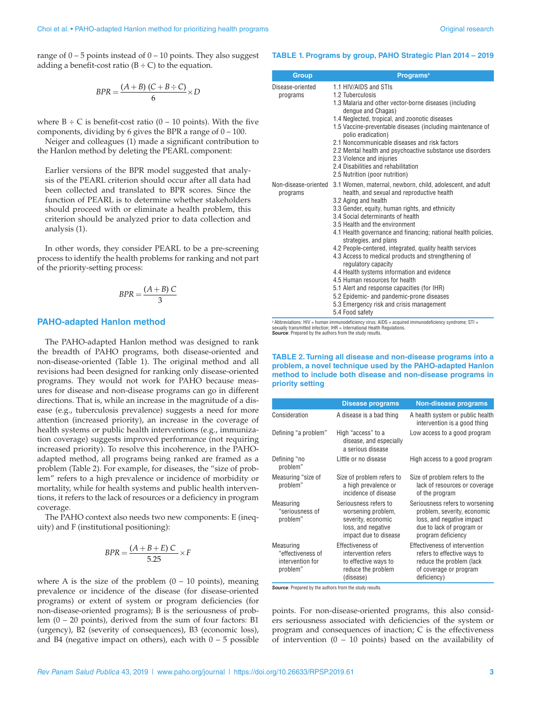range of  $0 - 5$  points instead of  $0 - 10$  points. They also suggest adding a benefit-cost ratio  $(B \div C)$  to the equation.

$$
BPR = \frac{(A+B)(C+B+C)}{6} \times D
$$

where  $B \div C$  is benefit-cost ratio (0 – 10 points). With the five components, dividing by 6 gives the BPR a range of  $0 - 100$ .

Neiger and colleagues (1) made a significant contribution to the Hanlon method by deleting the PEARL component:

Earlier versions of the BPR model suggested that analysis of the PEARL criterion should occur after all data had been collected and translated to BPR scores. Since the function of PEARL is to determine whether stakeholders should proceed with or eliminate a health problem, this criterion should be analyzed prior to data collection and analysis (1).

In other words, they consider PEARL to be a pre-screening process to identify the health problems for ranking and not part of the priority-setting process:

$$
BPR = \frac{(A+B) C}{3}
$$

### **PAHO-adapted Hanlon method**

The PAHO-adapted Hanlon method was designed to rank the breadth of PAHO programs, both disease-oriented and non-disease-oriented (Table 1). The original method and all revisions had been designed for ranking only disease-oriented programs. They would not work for PAHO because measures for disease and non-disease programs can go in different directions. That is, while an increase in the magnitude of a disease (e.g., tuberculosis prevalence) suggests a need for more attention (increased priority), an increase in the coverage of health systems or public health interventions (e.g., immunization coverage) suggests improved performance (not requiring increased priority). To resolve this incoherence, in the PAHOadapted method, all programs being ranked are framed as a problem (Table 2). For example, for diseases, the "size of problem" refers to a high prevalence or incidence of morbidity or mortality, while for health systems and public health interventions, it refers to the lack of resources or a deficiency in program coverage.

The PAHO context also needs two new components: E (inequity) and F (institutional positioning):

$$
BPR = \frac{(A+B+E) C}{5.25} \times F
$$

where A is the size of the problem  $(0 - 10 \text{ points})$ , meaning prevalence or incidence of the disease (for disease-oriented programs) or extent of system or program deficiencies (for non-disease-oriented programs); B is the seriousness of problem (0 – 20 points), derived from the sum of four factors: B1 (urgency), B2 (severity of consequences), B3 (economic loss), and B4 (negative impact on others), each with  $0 - 5$  possible

#### **TABLE 1. Programs by group, PAHO Strategic Plan 2014 – 2019**

| <b>Group</b>                     | <b>Programs</b> <sup>a</sup>                                                                                                                                                                                                                                                                                                                                                                                                                                                                                                                                                                                                                                                                                                                |
|----------------------------------|---------------------------------------------------------------------------------------------------------------------------------------------------------------------------------------------------------------------------------------------------------------------------------------------------------------------------------------------------------------------------------------------------------------------------------------------------------------------------------------------------------------------------------------------------------------------------------------------------------------------------------------------------------------------------------------------------------------------------------------------|
| Disease-oriented<br>programs     | 1.1 HIV/AIDS and STIs<br>1.2 Tuberculosis<br>1.3 Malaria and other vector-borne diseases (including<br>dengue and Chagas)<br>1.4 Neglected, tropical, and zoonotic diseases<br>1.5 Vaccine-preventable diseases (including maintenance of<br>polio eradication)<br>2.1 Noncommunicable diseases and risk factors<br>2.2 Mental health and psychoactive substance use disorders<br>2.3 Violence and injuries<br>2.4 Disabilities and rehabilitation<br>2.5 Nutrition (poor nutrition)                                                                                                                                                                                                                                                        |
| Non-disease-oriented<br>programs | 3.1 Women, maternal, newborn, child, adolescent, and adult<br>health, and sexual and reproductive health<br>3.2 Aging and health<br>3.3 Gender, equity, human rights, and ethnicity<br>3.4 Social determinants of health<br>3.5 Health and the environment<br>4.1 Health governance and financing; national health policies,<br>strategies, and plans<br>4.2 People-centered, integrated, quality health services<br>4.3 Access to medical products and strengthening of<br>regulatory capacity<br>4.4 Health systems information and evidence<br>4.5 Human resources for health<br>5.1 Alert and response capacities (for IHR)<br>5.2 Epidemic- and pandemic-prone diseases<br>5.3 Emergency risk and crisis management<br>5.4 Food safetv |

a Abbreviations: HIV = human immunodeficiency virus; AIDS = acquired immunodeficiency syndrome; STI = sexually transmitted infection; IHR = International Health Regulations. **Source:** Prepared by the authors from the study results.

#### **TABLE 2. Turning all disease and non-disease programs into a problem, a novel technique used by the PAHO-adapted Hanlon method to include both disease and non-disease programs in priority setting**

|                                                                | <b>Disease programs</b>                                                                                          | <b>Non-disease programs</b>                                                                                                                    |
|----------------------------------------------------------------|------------------------------------------------------------------------------------------------------------------|------------------------------------------------------------------------------------------------------------------------------------------------|
| Consideration                                                  | A disease is a bad thing                                                                                         | A health system or public health<br>intervention is a good thing                                                                               |
| Defining "a problem"                                           | High "access" to a<br>disease, and especially<br>a serious disease                                               | Low access to a good program                                                                                                                   |
| Defining "no<br>problem"                                       | Little or no disease                                                                                             | High access to a good program                                                                                                                  |
| Measuring "size of<br>problem"                                 | Size of problem refers to<br>a high prevalence or<br>incidence of disease                                        | Size of problem refers to the<br>lack of resources or coverage<br>of the program                                                               |
| Measuring<br>"seriousness of<br>problem"                       | Seriousness refers to<br>worsening problem,<br>severity, economic<br>loss, and negative<br>impact due to disease | Seriousness refers to worsening<br>problem, severity, economic<br>loss, and negative impact<br>due to lack of program or<br>program deficiency |
| Measuring<br>"effectiveness of<br>intervention for<br>problem" | Effectiveness of<br>intervention refers<br>to effective ways to<br>reduce the problem<br>(disease)               | Effectiveness of intervention<br>refers to effective ways to<br>reduce the problem (lack<br>of coverage or program<br>deficiency)              |

**Source:** Prepared by the authors from the study results.

points. For non-disease-oriented programs, this also considers seriousness associated with deficiencies of the system or program and consequences of inaction; C is the effectiveness of intervention  $(0 - 10 \text{ points})$  based on the availability of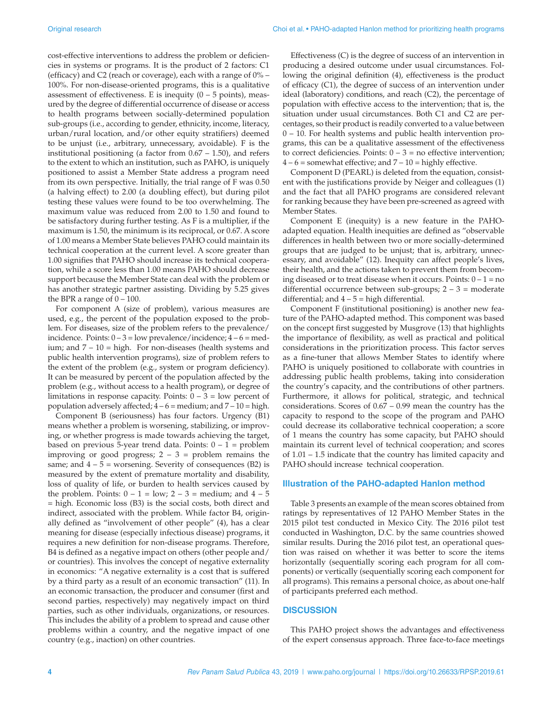cost-effective interventions to address the problem or deficiencies in systems or programs. It is the product of 2 factors: C1 (efficacy) and C2 (reach or coverage), each with a range of 0% – 100%. For non-disease-oriented programs, this is a qualitative assessment of effectiveness. E is inequity  $(0 - 5 \text{ points})$ , measured by the degree of differential occurrence of disease or access to health programs between socially-determined population sub-groups (i.e., according to gender, ethnicity, income, literacy, urban/rural location, and/or other equity stratifiers) deemed to be unjust (i.e., arbitrary, unnecessary, avoidable). F is the institutional positioning (a factor from 0.67 – 1.50), and refers to the extent to which an institution, such as PAHO, is uniquely positioned to assist a Member State address a program need from its own perspective. Initially, the trial range of F was 0.50 (a halving effect) to 2.00 (a doubling effect), but during pilot testing these values were found to be too overwhelming. The maximum value was reduced from 2.00 to 1.50 and found to be satisfactory during further testing. As F is a multiplier, if the maximum is 1.50, the minimum is its reciprocal, or 0.67. A score of 1.00 means a Member State believes PAHO could maintain its technical cooperation at the current level. A score greater than 1.00 signifies that PAHO should increase its technical cooperation, while a score less than 1.00 means PAHO should decrease support because the Member State can deal with the problem or has another strategic partner assisting. Dividing by 5.25 gives the BPR a range of  $0 - 100$ .

For component A (size of problem), various measures are used, e.g., the percent of the population exposed to the problem. For diseases, size of the problem refers to the prevalence/ incidence. Points:  $0 - 3 =$ low prevalence/incidence;  $4 - 6 =$ medium; and  $7 - 10 =$  high. For non-diseases (health systems and public health intervention programs), size of problem refers to the extent of the problem (e.g., system or program deficiency). It can be measured by percent of the population affected by the problem (e.g., without access to a health program), or degree of limitations in response capacity. Points:  $0 - 3 =$  low percent of population adversely affected;  $4 - 6 =$  medium; and  $7 - 10 =$  high.

Component B (seriousness) has four factors. Urgency (B1) means whether a problem is worsening, stabilizing, or improving, or whether progress is made towards achieving the target, based on previous 5-year trend data. Points:  $0 - 1$  = problem improving or good progress;  $2 - 3 =$  problem remains the same; and  $4 - 5$  = worsening. Severity of consequences (B2) is measured by the extent of premature mortality and disability, loss of quality of life, or burden to health services caused by the problem. Points:  $0 - 1 =$  low;  $2 - 3 =$  medium; and  $4 - 5$ = high. Economic loss (B3) is the social costs, both direct and indirect, associated with the problem. While factor B4, originally defined as "involvement of other people" (4), has a clear meaning for disease (especially infectious disease) programs, it requires a new definition for non-disease programs. Therefore, B4 is defined as a negative impact on others (other people and/ or countries). This involves the concept of negative externality in economics: "A negative externality is a cost that is suffered by a third party as a result of an economic transaction" (11). In an economic transaction, the producer and consumer (first and second parties, respectively) may negatively impact on third parties, such as other individuals, organizations, or resources. This includes the ability of a problem to spread and cause other problems within a country, and the negative impact of one country (e.g., inaction) on other countries.

Effectiveness (C) is the degree of success of an intervention in producing a desired outcome under usual circumstances. Following the original definition (4), effectiveness is the product of efficacy (C1), the degree of success of an intervention under ideal (laboratory) conditions, and reach (C2), the percentage of population with effective access to the intervention; that is, the situation under usual circumstances. Both C1 and C2 are percentages, so their product is readily converted to a value between 0 – 10. For health systems and public health intervention programs, this can be a qualitative assessment of the effectiveness to correct deficiencies. Points:  $0 - 3 =$  no effective intervention;  $4 - 6$  = somewhat effective; and  $7 - 10$  = highly effective.

Component D (PEARL) is deleted from the equation, consistent with the justifications provide by Neiger and colleagues (1) and the fact that all PAHO programs are considered relevant for ranking because they have been pre-screened as agreed with Member States.

Component E (inequity) is a new feature in the PAHOadapted equation. Health inequities are defined as "observable differences in health between two or more socially-determined groups that are judged to be unjust; that is, arbitrary, unnecessary, and avoidable" (12). Inequity can affect people's lives, their health, and the actions taken to prevent them from becoming diseased or to treat disease when it occurs. Points:  $0 - 1 =$  no differential occurrence between sub-groups; 2 – 3 = moderate differential; and  $4 - 5 =$  high differential.

Component F (institutional positioning) is another new feature of the PAHO-adapted method. This component was based on the concept first suggested by Musgrove (13) that highlights the importance of flexibility, as well as practical and political considerations in the prioritization process. This factor serves as a fine-tuner that allows Member States to identify where PAHO is uniquely positioned to collaborate with countries in addressing public health problems, taking into consideration the country's capacity, and the contributions of other partners. Furthermore, it allows for political, strategic, and technical considerations. Scores of 0.67 – 0.99 mean the country has the capacity to respond to the scope of the program and PAHO could decrease its collaborative technical cooperation; a score of 1 means the country has some capacity, but PAHO should maintain its current level of technical cooperation; and scores of 1.01 – 1.5 indicate that the country has limited capacity and PAHO should increase technical cooperation.

#### **Illustration of the PAHO-adapted Hanlon method**

Table 3 presents an example of the mean scores obtained from ratings by representatives of 12 PAHO Member States in the 2015 pilot test conducted in Mexico City. The 2016 pilot test conducted in Washington, D.C. by the same countries showed similar results. During the 2016 pilot test, an operational question was raised on whether it was better to score the items horizontally (sequentially scoring each program for all components) or vertically (sequentially scoring each component for all programs). This remains a personal choice, as about one-half of participants preferred each method.

#### **DISCUSSION**

This PAHO project shows the advantages and effectiveness of the expert consensus approach. Three face-to-face meetings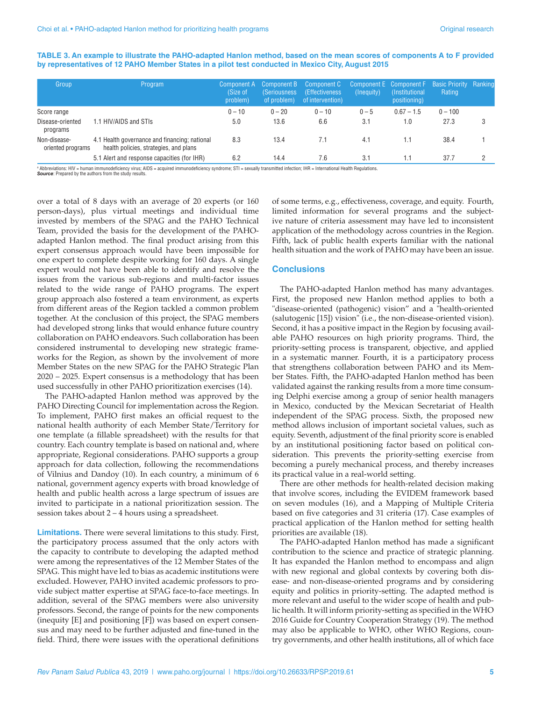| TABLE 3. An example to illustrate the PAHO-adapted Hanlon method, based on the mean scores of components A to F provided |  |
|--------------------------------------------------------------------------------------------------------------------------|--|
| by representatives of 12 PAHO Member States in a pilot test conducted in Mexico City, August 2015                        |  |

| Group                             | Program                                                                                 | Component A<br>(Size of<br>problem) | Component B<br><i>(Seriousness)</i><br>of problem) | Component C<br>(Effectiveness)<br>of intervention) | (Inequity) | Component E Component F Basic Priority Ranking<br>(Institutional)<br>positioning) | Rating    |  |
|-----------------------------------|-----------------------------------------------------------------------------------------|-------------------------------------|----------------------------------------------------|----------------------------------------------------|------------|-----------------------------------------------------------------------------------|-----------|--|
| Score range                       |                                                                                         | $0 - 10$                            | $0 - 20$                                           | $0 - 10$                                           | $0 - 5$    | $0.67 - 1.5$                                                                      | $0 - 100$ |  |
| Disease-oriented<br>programs      | 1.1 HIV/AIDS and STIs                                                                   | 5.0                                 | 13.6                                               | 6.6                                                | 3.1        | 1.0                                                                               | 27.3      |  |
| Non-disease-<br>oriented programs | 4.1 Health governance and financing; national<br>health policies, strategies, and plans | 8.3                                 | 13.4                                               | 7.1                                                | 4.1        | 1.1                                                                               | 38.4      |  |
|                                   | 5.1 Alert and response capacities (for IHR)                                             | 6.2                                 | 14.4                                               | 7.6                                                | 3.1        | 1.1                                                                               | 37.7      |  |

a Abbreviations: HIV = human immunodeficiency virus; AIDS = acquired immunodeficiency syndrome; STI = sexually transmitted infection; IHR = International Health Regulations **Source:** Prepared by the authors from the study results.

over a total of 8 days with an average of 20 experts (or 160 person-days), plus virtual meetings and individual time invested by members of the SPAG and the PAHO Technical Team, provided the basis for the development of the PAHOadapted Hanlon method. The final product arising from this expert consensus approach would have been impossible for one expert to complete despite working for 160 days. A single expert would not have been able to identify and resolve the issues from the various sub-regions and multi-factor issues related to the wide range of PAHO programs. The expert group approach also fostered a team environment, as experts from different areas of the Region tackled a common problem together. At the conclusion of this project, the SPAG members had developed strong links that would enhance future country collaboration on PAHO endeavors. Such collaboration has been considered instrumental to developing new strategic frameworks for the Region, as shown by the involvement of more Member States on the new SPAG for the PAHO Strategic Plan 2020 – 2025. Expert consensus is a methodology that has been used successfully in other PAHO prioritization exercises (14).

The PAHO-adapted Hanlon method was approved by the PAHO Directing Council for implementation across the Region. To implement, PAHO first makes an official request to the national health authority of each Member State/Territory for one template (a fillable spreadsheet) with the results for that country. Each country template is based on national and, where appropriate, Regional considerations. PAHO supports a group approach for data collection, following the recommendations of Vilnius and Dandoy (10). In each country, a minimum of 6 national, government agency experts with broad knowledge of health and public health across a large spectrum of issues are invited to participate in a national prioritization session. The session takes about 2 – 4 hours using a spreadsheet.

**Limitations.** There were several limitations to this study. First, the participatory process assumed that the only actors with the capacity to contribute to developing the adapted method were among the representatives of the 12 Member States of the SPAG. This might have led to bias as academic institutions were excluded. However, PAHO invited academic professors to provide subject matter expertise at SPAG face-to-face meetings. In addition, several of the SPAG members were also university professors. Second, the range of points for the new components (inequity [E] and positioning [F]) was based on expert consensus and may need to be further adjusted and fine-tuned in the field. Third, there were issues with the operational definitions

of some terms, e.g., effectiveness, coverage, and equity. Fourth, limited information for several programs and the subjective nature of criteria assessment may have led to inconsistent application of the methodology across countries in the Region. Fifth, lack of public health experts familiar with the national health situation and the work of PAHO may have been an issue.

#### **Conclusions**

The PAHO-adapted Hanlon method has many advantages. First, the proposed new Hanlon method applies to both a "disease-oriented (pathogenic) vision" and a "health-oriented (salutogenic [15]) vision" (i.e., the non-disease-oriented vision). Second, it has a positive impact in the Region by focusing available PAHO resources on high priority programs. Third, the priority-setting process is transparent, objective, and applied in a systematic manner. Fourth, it is a participatory process that strengthens collaboration between PAHO and its Member States. Fifth, the PAHO-adapted Hanlon method has been validated against the ranking results from a more time consuming Delphi exercise among a group of senior health managers in Mexico, conducted by the Mexican Secretariat of Health independent of the SPAG process. Sixth, the proposed new method allows inclusion of important societal values, such as equity. Seventh, adjustment of the final priority score is enabled by an institutional positioning factor based on political consideration. This prevents the priority-setting exercise from becoming a purely mechanical process, and thereby increases its practical value in a real-world setting.

There are other methods for health-related decision making that involve scores, including the EVIDEM framework based on seven modules (16), and a Mapping of Multiple Criteria based on five categories and 31 criteria (17). Case examples of practical application of the Hanlon method for setting health priorities are available (18).

The PAHO-adapted Hanlon method has made a significant contribution to the science and practice of strategic planning. It has expanded the Hanlon method to encompass and align with new regional and global contexts by covering both disease- and non-disease-oriented programs and by considering equity and politics in priority-setting. The adapted method is more relevant and useful to the wider scope of health and public health. It will inform priority-setting as specified in the WHO 2016 Guide for Country Cooperation Strategy (19). The method may also be applicable to WHO, other WHO Regions, country governments, and other health institutions, all of which face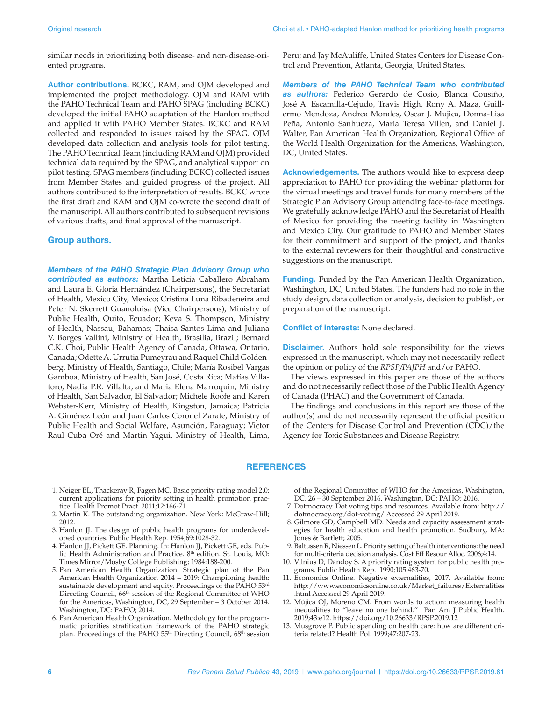similar needs in prioritizing both disease- and non-disease-oriented programs.

**Author contributions.** BCKC, RAM, and OJM developed and implemented the project methodology. OJM and RAM with the PAHO Technical Team and PAHO SPAG (including BCKC) developed the initial PAHO adaptation of the Hanlon method and applied it with PAHO Member States. BCKC and RAM collected and responded to issues raised by the SPAG. OJM developed data collection and analysis tools for pilot testing. The PAHO Technical Team (including RAM and OJM) provided technical data required by the SPAG, and analytical support on pilot testing. SPAG members (including BCKC) collected issues from Member States and guided progress of the project. All authors contributed to the interpretation of results. BCKC wrote the first draft and RAM and OJM co-wrote the second draft of the manuscript. All authors contributed to subsequent revisions of various drafts, and final approval of the manuscript.

#### **Group authors.**

*Members of the PAHO Strategic Plan Advisory Group who contributed as authors:* Martha Leticia Caballero Abraham and Laura E. Gloria Hernández (Chairpersons), the Secretariat of Health, Mexico City, Mexico; Cristina Luna Ribadeneira and Peter N. Skerrett Guanoluisa (Vice Chairpersons), Ministry of Public Health, Quito, Ecuador; Keva S. Thompson, Ministry of Health, Nassau, Bahamas; Thaisa Santos Lima and Juliana V. Borges Vallini, Ministry of Health, Brasilia, Brazil; Bernard C.K. Choi, Public Health Agency of Canada, Ottawa, Ontario, Canada; Odette A. Urrutia Pumeyrau and Raquel Child Goldenberg, Ministry of Health, Santiago, Chile; María Rosibel Vargas Gamboa, Ministry of Health, San José, Costa Rica; Matías Villatoro, Nadia P.R. Villalta, and Maria Elena Marroquin, Ministry of Health, San Salvador, El Salvador; Michele Roofe and Karen Webster-Kerr, Ministry of Health, Kingston, Jamaica; Patricia A. Giménez León and Juan Carlos Coronel Zarate, Ministry of Public Health and Social Welfare, Asunción, Paraguay; Victor Raul Cuba Oré and Martin Yagui, Ministry of Health, Lima,

Peru; and Jay McAuliffe, United States Centers for Disease Control and Prevention, Atlanta, Georgia, United States.

*Members of the PAHO Technical Team who contributed as authors:* Federico Gerardo de Cosio, Blanca Cousiño, José A. Escamilla-Cejudo, Travis High, Rony A. Maza, Guillermo Mendoza, Andrea Morales, Oscar J. Mujica, Donna-Lisa Peña, Antonio Sanhueza, Maria Teresa Villen, and Daniel J. Walter, Pan American Health Organization, Regional Office of the World Health Organization for the Americas, Washington, DC, United States.

**Acknowledgements.** The authors would like to express deep appreciation to PAHO for providing the webinar platform for the virtual meetings and travel funds for many members of the Strategic Plan Advisory Group attending face-to-face meetings. We gratefully acknowledge PAHO and the Secretariat of Health of Mexico for providing the meeting facility in Washington and Mexico City. Our gratitude to PAHO and Member States for their commitment and support of the project, and thanks to the external reviewers for their thoughtful and constructive suggestions on the manuscript.

**Funding.** Funded by the Pan American Health Organization, Washington, DC, United States. The funders had no role in the study design, data collection or analysis, decision to publish, or preparation of the manuscript.

**Conflict of interests:** None declared.

**Disclaimer.** Authors hold sole responsibility for the views expressed in the manuscript, which may not necessarily reflect the opinion or policy of the *RPSP/PAJPH* and/or PAHO.

The views expressed in this paper are those of the authors and do not necessarily reflect those of the Public Health Agency of Canada (PHAC) and the Government of Canada.

The findings and conclusions in this report are those of the author(s) and do not necessarily represent the official position of the Centers for Disease Control and Prevention (CDC)/the Agency for Toxic Substances and Disease Registry.

#### **REFERENCES**

- 1. Neiger BL, Thackeray R, Fagen MC. Basic priority rating model 2.0: current applications for priority setting in health promotion practice. Health Promot Pract. 2011;12:166-71.
- 2. Martin K. The outstanding organization. New York: McGraw-Hill; 2012.
- 3. Hanlon JJ. The design of public health programs for underdeveloped countries. Public Health Rep. 1954;69:1028-32.
- 4. Hanlon JJ, Pickett GE. Planning. In: Hanlon JJ, Pickett GE, eds. Public Health Administration and Practice. 8<sup>th</sup> edition. St. Louis, MO: Times Mirror/Mosby College Publishing; 1984:188-200.
- 5. Pan American Health Organization. Strategic plan of the Pan American Health Organization 2014 – 2019: Championing health: sustainable development and equity. Proceedings of the PAHO 53<sup>rd</sup> Directing Council, 66<sup>th</sup> session of the Regional Committee of WHO for the Americas, Washington, DC, 29 September – 3 October 2014. Washington, DC: PAHO; 2014.
- 6. Pan American Health Organization. Methodology for the programmatic priorities stratification framework of the PAHO strategic plan. Proceedings of the PAHO 55<sup>th</sup> Directing Council, 68<sup>th</sup> session

of the Regional Committee of WHO for the Americas, Washington, DC, 26 – 30 September 2016. Washington, DC: PAHO; 2016.

- 7. Dotmocracy. Dot voting tips and resources. Available from: http:// dotmocracy.org/dot-voting/ Accessed 29 April 2019.
- 8. Gilmore GD, Campbell MD. Needs and capacity assessment strategies for health education and health promotion. Sudbury, MA: Jones & Bartlett; 2005.
- 9. Baltussen R, Niessen L. Priority setting of health interventions: the need for multi-criteria decision analysis. Cost Eff Resour Alloc. 2006;4:14.
- 10. Vilnius D, Dandoy S. A priority rating system for public health programs. Public Health Rep. 1990;105:463-70.
- 11. Economics Online. Negative externalities, 2017. Available from: http://www.economicsonline.co.uk/Market\_failures/Externalities .html Accessed 29 April 2019.
- 12. Mújica OJ, Moreno CM. From words to action: measuring health inequalities to "leave no one behind." Pan Am J Public Health. 2019;43:e12. https://doi.org/10.26633/RPSP.2019.12
- 13. Musgrove P. Public spending on health care: how are different criteria related? Health Pol. 1999;47:207-23.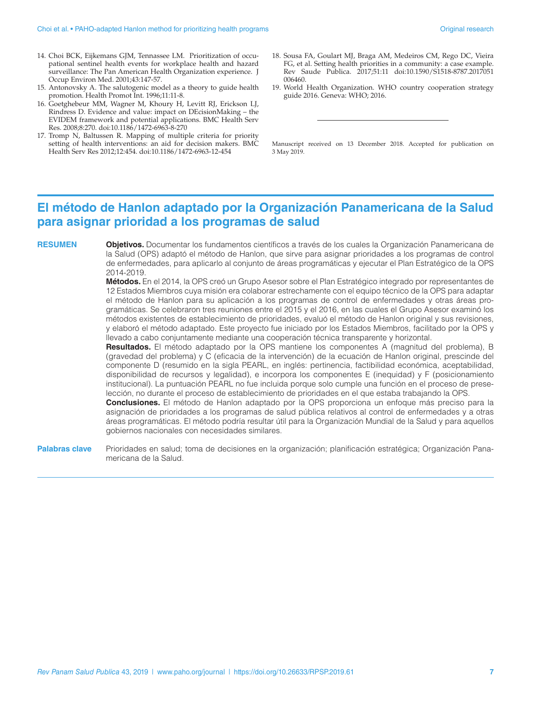- 14. Choi BCK, Eijkemans GJM, Tennassee LM. Prioritization of occupational sentinel health events for workplace health and hazard surveillance: The Pan American Health Organization experience. J Occup Environ Med. 2001;43:147-57.
- 15. Antonovsky A. The salutogenic model as a theory to guide health promotion. Health Promot Int. 1996;11:11-8.
- 16. Goetghebeur MM, Wagner M, Khoury H, Levitt RJ, Erickson LJ, Rindress D. Evidence and value: impact on DEcisionMaking – the EVIDEM framework and potential applications. BMC Health Serv Res. 2008;8:270. <doi:10.1186/1472-6963-8-270>
- 17. Tromp N, Baltussen R. Mapping of multiple criteria for priority setting of health interventions: an aid for decision makers. BMC Health Serv Res 2012;12:454.<doi:10.1186/1472-6963-12-454>
- 18. Sousa FA, Goulart MJ, Braga AM, Medeiros CM, Rego DC, Vieira FG, et al. Setting health priorities in a community: a case example. Rev Saude Publica. 2017;51:11 [doi:10.1590/S1518-8787.2017051](doi:10.1590/S1518-8787.2017051006460) [006460](doi:10.1590/S1518-8787.2017051006460).
- 19. World Health Organization. WHO country cooperation strategy guide 2016. Geneva: WHO; 2016.

Manuscript received on 13 December 2018. Accepted for publication on 3 May 2019.

## **El método de Hanlon adaptado por la Organización Panamericana de la Salud para asignar prioridad a los programas de salud**

**RESUMEN Objetivos.** Documentar los fundamentos científicos a través de los cuales la Organización Panamericana de la Salud (OPS) adaptó el método de Hanlon, que sirve para asignar prioridades a los programas de control de enfermedades, para aplicarlo al conjunto de áreas programáticas y ejecutar el Plan Estratégico de la OPS 2014-2019.

> **Métodos.** En el 2014, la OPS creó un Grupo Asesor sobre el Plan Estratégico integrado por representantes de 12 Estados Miembros cuya misión era colaborar estrechamente con el equipo técnico de la OPS para adaptar el método de Hanlon para su aplicación a los programas de control de enfermedades y otras áreas programáticas. Se celebraron tres reuniones entre el 2015 y el 2016, en las cuales el Grupo Asesor examinó los métodos existentes de establecimiento de prioridades, evaluó el método de Hanlon original y sus revisiones, y elaboró el método adaptado. Este proyecto fue iniciado por los Estados Miembros, facilitado por la OPS y llevado a cabo conjuntamente mediante una cooperación técnica transparente y horizontal.

> **Resultados.** El método adaptado por la OPS mantiene los componentes A (magnitud del problema), B (gravedad del problema) y C (eficacia de la intervención) de la ecuación de Hanlon original, prescinde del componente D (resumido en la sigla PEARL, en inglés: pertinencia, factibilidad económica, aceptabilidad, disponibilidad de recursos y legalidad), e incorpora los componentes E (inequidad) y F (posicionamiento institucional). La puntuación PEARL no fue incluida porque solo cumple una función en el proceso de preselección, no durante el proceso de establecimiento de prioridades en el que estaba trabajando la OPS.

> **Conclusiones.** El método de Hanlon adaptado por la OPS proporciona un enfoque más preciso para la asignación de prioridades a los programas de salud pública relativos al control de enfermedades y a otras áreas programáticas. El método podría resultar útil para la Organización Mundial de la Salud y para aquellos gobiernos nacionales con necesidades similares.

**Palabras clave** Prioridades en salud; toma de decisiones en la organización; planificación estratégica; Organización Panamericana de la Salud.